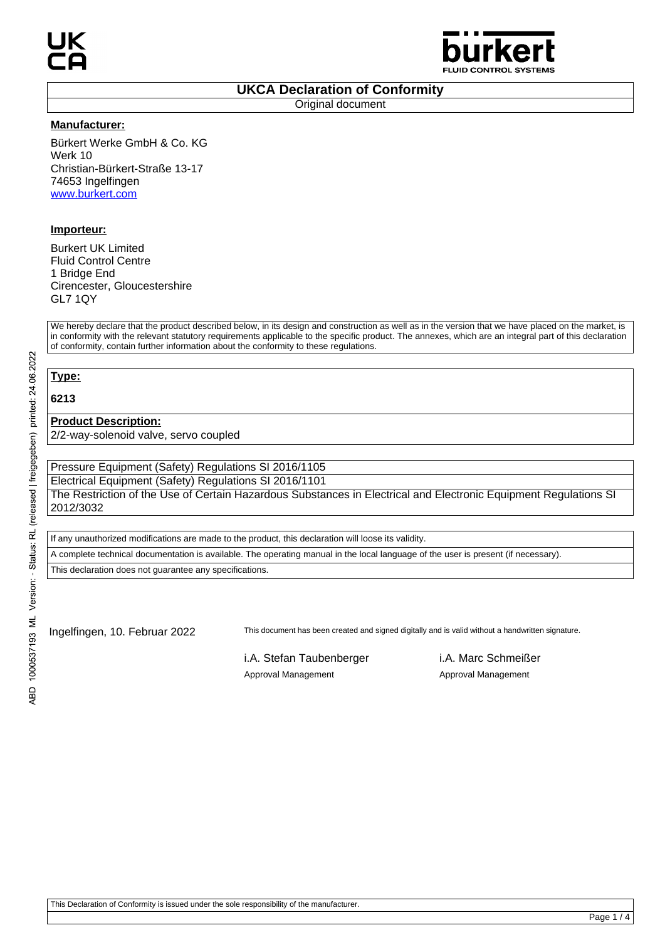

### **UKCA Declaration of Conformity**

Original document

#### **Manufacturer:**

Bürkert Werke GmbH & Co. KG Werk 10 Christian-Bürkert-Straße 13-17 74653 Ingelfingen www.burkert.com

### **Importeur:**

Burkert UK Limited Fluid Control Centre 1 Bridge End Cirencester, Gloucestershire GL7 1QY

We hereby declare that the product described below, in its design and construction as well as in the version that we have placed on the market, is in conformity with the relevant statutory requirements applicable to the specific product. The annexes, which are an integral part of this declaration of conformity, contain further information about the conformity to these regulations.

# **Type:**

**6213**

### **Product Description:**

2/2-way-solenoid valve, servo coupled

Pressure Equipment (Safety) Regulations SI 2016/1105

Electrical Equipment (Safety) Regulations SI 2016/1101

The Restriction of the Use of Certain Hazardous Substances in Electrical and Electronic Equipment Regulations SI 2012/3032

If any unauthorized modifications are made to the product, this declaration will loose its validity.

A complete technical documentation is available. The operating manual in the local language of the user is present (if necessary).

This declaration does not guarantee any specifications.

Ingelfingen, 10. Februar 2022 This document has been created and signed digitally and is valid without a handwritten signature.

i.A. Stefan Taubenberger i.A. Marc Schmeißer Approval Management Approval Management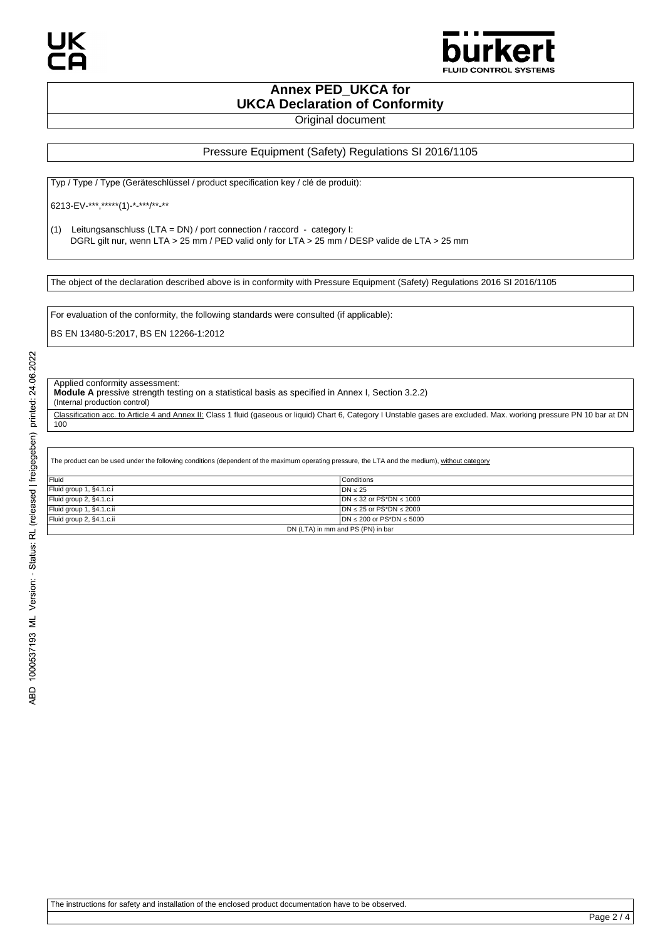

### **Annex PED\_UKCA for UKCA Declaration of Conformity**

Original document

#### Pressure Equipment (Safety) Regulations SI 2016/1105

Typ / Type / Type (Geräteschlüssel / product specification key / clé de produit):

6213-EV-\*\*\*,\*\*\*\*\*(1)-\*-\*\*\*/\*\*-\*\*

(1) Leitungsanschluss (LTA = DN) / port connection / raccord - category I: DGRL gilt nur, wenn LTA > 25 mm / PED valid only for LTA > 25 mm / DESP valide de LTA > 25 mm

The object of the declaration described above is in conformity with Pressure Equipment (Safety) Regulations 2016 SI 2016/1105

For evaluation of the conformity, the following standards were consulted (if applicable):

BS EN 13480-5:2017, BS EN 12266-1:2012

Applied conformity assessment:

**Module A** pressive strength testing on a statistical basis as specified in Annex I, Section 3.2.2)

(Internal production control)

Classification acc. to Article 4 and Annex II: Class 1 fluid (gaseous or liquid) Chart 6, Category I Unstable gases are excluded. Max. working pressure PN 10 bar at DN 100

The product can be used under the following conditions (dependent of the maximum operating pressure, the LTA and the medium), without category

| Fluid                             | Conditions                         |
|-----------------------------------|------------------------------------|
| Fluid group 1, §4.1.c.i           | $DN \leq 25$                       |
| Fluid group 2, §4.1.c.i           | $IDN \leq 32$ or PS*DN $\leq 1000$ |
| Fluid group 1, §4.1.c.ii          | $DN \le 25$ or PS*DN $\le 2000$    |
| Fluid group 2, §4.1.c.ii          | $DN \le 200$ or PS*DN $\le 5000$   |
| DN (LTA) in mm and PS (PN) in bar |                                    |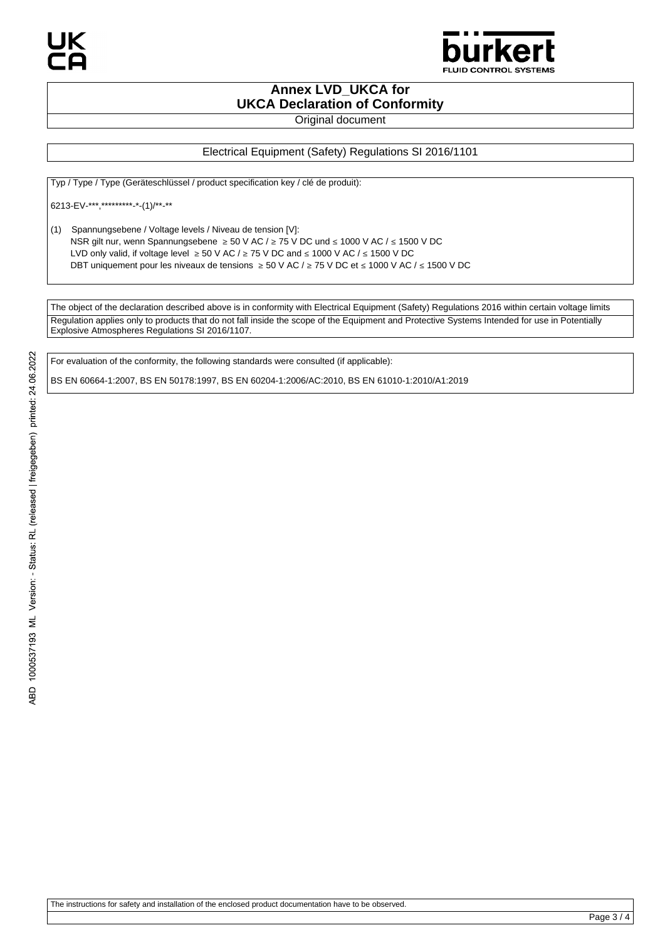

# **Annex LVD\_UKCA for UKCA Declaration of Conformity**

Original document

### Electrical Equipment (Safety) Regulations SI 2016/1101

Typ / Type / Type (Geräteschlüssel / product specification key / clé de produit):

6213-EV-\*\*\*,\*\*\*\*\*\*\*\*\*-\*-(1)/\*\*-\*\*

(1) Spannungsebene / Voltage levels / Niveau de tension [V]: NSR gilt nur, wenn Spannungsebene ≥ 50 V AC / ≥ 75 V DC und ≤ 1000 V AC / ≤ 1500 V DC LVD only valid, if voltage level  $\geq 50$  V AC /  $\geq 75$  V DC and  $\leq 1000$  V AC /  $\leq 1500$  V DC DBT uniquement pour les niveaux de tensions ≥ 50 V AC / ≥ 75 V DC et ≤ 1000 V AC / ≤ 1500 V DC

The object of the declaration described above is in conformity with Electrical Equipment (Safety) Regulations 2016 within certain voltage limits Regulation applies only to products that do not fall inside the scope of the Equipment and Protective Systems Intended for use in Potentially Explosive Atmospheres Regulations SI 2016/1107.

For evaluation of the conformity, the following standards were consulted (if applicable):

BS EN 60664-1:2007, BS EN 50178:1997, BS EN 60204-1:2006/AC:2010, BS EN 61010-1:2010/A1:2019